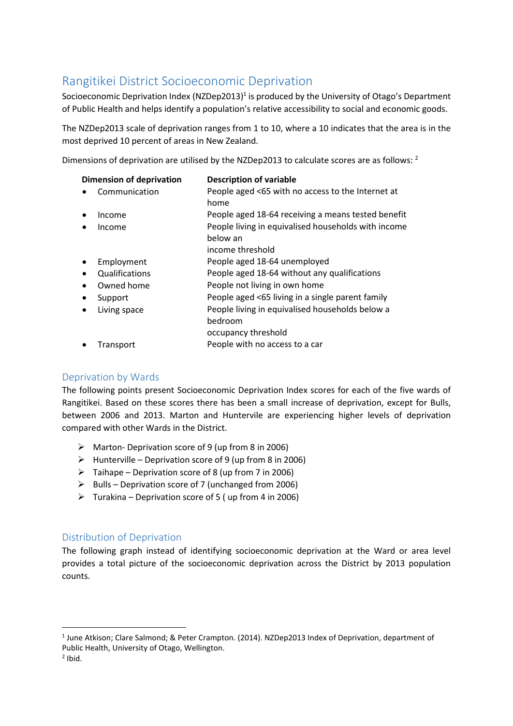## Rangitikei District Socioeconomic Deprivation

Socioeconomic Deprivation Index (NZDep2013)<sup>1</sup> is produced by the University of Otago's Department of Public Health and helps identify a population's relative accessibility to social and economic goods.

The NZDep2013 scale of deprivation ranges from 1 to 10, where a 10 indicates that the area is in the most deprived 10 percent of areas in New Zealand.

Dimensions of deprivation are utilised by the NZDep2013 to calculate scores are as follows: <sup>2</sup>

| <b>Dimension of deprivation</b> |                | <b>Description of variable</b>                                  |
|---------------------------------|----------------|-----------------------------------------------------------------|
|                                 | Communication  | People aged <65 with no access to the Internet at<br>home       |
|                                 | Income         | People aged 18-64 receiving a means tested benefit              |
|                                 | Income         | People living in equivalised households with income<br>below an |
|                                 |                | income threshold                                                |
|                                 | Employment     | People aged 18-64 unemployed                                    |
| $\bullet$                       | Qualifications | People aged 18-64 without any qualifications                    |
| ٠                               | Owned home     | People not living in own home                                   |
| $\bullet$                       | Support        | People aged <65 living in a single parent family                |
|                                 | Living space   | People living in equivalised households below a<br>bedroom      |
|                                 |                | occupancy threshold                                             |
|                                 | Transport      | People with no access to a car                                  |

## Deprivation by Wards

The following points present Socioeconomic Deprivation Index scores for each of the five wards of Rangitikei. Based on these scores there has been a small increase of deprivation, except for Bulls, between 2006 and 2013. Marton and Huntervile are experiencing higher levels of deprivation compared with other Wards in the District.

- $\triangleright$  Marton- Deprivation score of 9 (up from 8 in 2006)
- $\triangleright$  Hunterville Deprivation score of 9 (up from 8 in 2006)
- $\triangleright$  Taihape Deprivation score of 8 (up from 7 in 2006)
- $\triangleright$  Bulls Deprivation score of 7 (unchanged from 2006)
- $\triangleright$  Turakina Deprivation score of 5 (up from 4 in 2006)

## Distribution of Deprivation

The following graph instead of identifying socioeconomic deprivation at the Ward or area level provides a total picture of the socioeconomic deprivation across the District by 2013 population counts.

<sup>&</sup>lt;sup>1</sup> June Atkison; Clare Salmond; & Peter Crampton. (2014). NZDep2013 Index of Deprivation, department of Public Health, University of Otago, Wellington.

 $<sup>2</sup>$  Ibid.</sup>